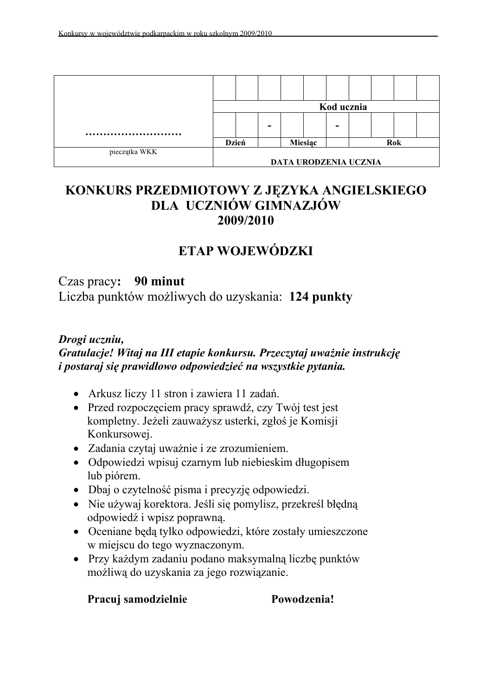|               |                                |  |   |  |  | Kod ucznia |  |  |  |
|---------------|--------------------------------|--|---|--|--|------------|--|--|--|
|               |                                |  |   |  |  |            |  |  |  |
|               |                                |  | - |  |  | -          |  |  |  |
|               | Dzień<br>Miesiąc<br><b>Rok</b> |  |   |  |  |            |  |  |  |
| pieczątka WKK |                                |  |   |  |  |            |  |  |  |
|               | DATA URODZENIA UCZNIA          |  |   |  |  |            |  |  |  |

## **KONKURS PRZEDMIOTOWY Z JĘZYKA ANGIELSKIEGO DLA UCZNIÓW GIMNAZJÓW 2009/2010**

# **ETAP WOJEWÓDZKI**

## Czas pracy**: 90 minut**

Liczba punktów możliwych do uzyskania: **124 punkty** 

#### *Drogi uczniu,*

### *Gratulacje! Witaj na III etapie konkursu. Przeczytaj uważnie instrukcję i postaraj się prawidłowo odpowiedzieć na wszystkie pytania.*

- Arkusz liczy 11 stron i zawiera 11 zadań.
- Przed rozpoczęciem pracy sprawdź, czy Twój test jest kompletny. Jeżeli zauważysz usterki, zgłoś je Komisji Konkursowej.
- Zadania czytaj uważnie i ze zrozumieniem.
- Odpowiedzi wpisuj czarnym lub niebieskim długopisem lub piórem.
- Dbaj o czytelność pisma i precyzję odpowiedzi.
- Nie używaj korektora. Jeśli się pomylisz, przekreśl błędną odpowiedź i wpisz poprawną.
- Oceniane będą tylko odpowiedzi, które zostały umieszczone w miejscu do tego wyznaczonym.
- Przy każdym zadaniu podano maksymalną liczbę punktów możliwą do uzyskania za jego rozwiązanie.

Pracuj samodzielnie Powodzenia!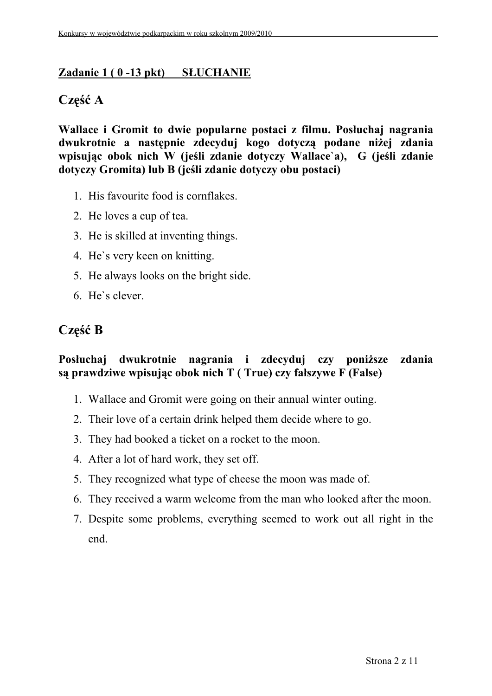### **Zadanie 1 ( 0 -13 pkt) SŁUCHANIE**

## **Część A**

**Wallace i Gromit to dwie popularne postaci z filmu. Posłuchaj nagrania dwukrotnie a następnie zdecyduj kogo dotyczą podane niżej zdania wpisując obok nich W (jeśli zdanie dotyczy Wallace`a), G (jeśli zdanie dotyczy Gromita) lub B (jeśli zdanie dotyczy obu postaci)** 

- 1. His favourite food is cornflakes.
- 2. He loves a cup of tea.
- 3. He is skilled at inventing things.
- 4. He`s very keen on knitting.
- 5. He always looks on the bright side.
- 6. He`s clever.

# **Część B**

### **Posłuchaj dwukrotnie nagrania i zdecyduj czy poniższe zdania są prawdziwe wpisując obok nich T ( True) czy fałszywe F (False)**

- 1. Wallace and Gromit were going on their annual winter outing.
- 2. Their love of a certain drink helped them decide where to go.
- 3. They had booked a ticket on a rocket to the moon.
- 4. After a lot of hard work, they set off.
- 5. They recognized what type of cheese the moon was made of.
- 6. They received a warm welcome from the man who looked after the moon.
- 7. Despite some problems, everything seemed to work out all right in the end.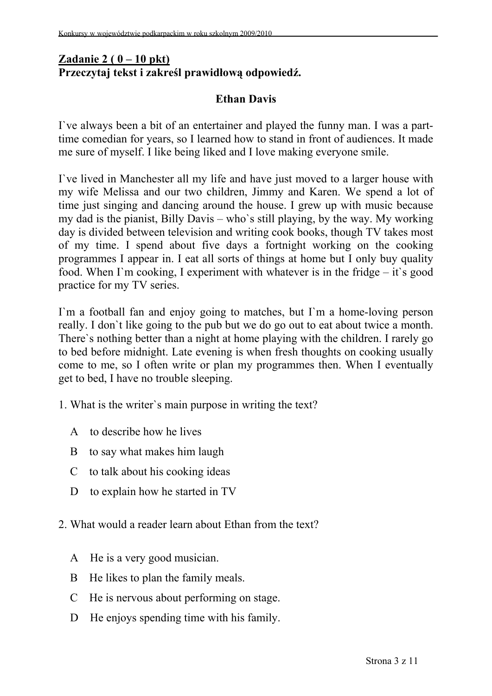## **Zadanie 2 ( 0 – 10 pkt) Przeczytaj tekst i zakreśl prawidłową odpowiedź.**

### **Ethan Davis**

I`ve always been a bit of an entertainer and played the funny man. I was a parttime comedian for years, so I learned how to stand in front of audiences. It made me sure of myself. I like being liked and I love making everyone smile.

I`ve lived in Manchester all my life and have just moved to a larger house with my wife Melissa and our two children, Jimmy and Karen. We spend a lot of time just singing and dancing around the house. I grew up with music because my dad is the pianist, Billy Davis – who`s still playing, by the way. My working day is divided between television and writing cook books, though TV takes most of my time. I spend about five days a fortnight working on the cooking programmes I appear in. I eat all sorts of things at home but I only buy quality food. When  $\Gamma$ m cooking, I experiment with whatever is in the fridge – it`s good practice for my TV series.

I`m a football fan and enjoy going to matches, but I`m a home-loving person really. I don`t like going to the pub but we do go out to eat about twice a month. There`s nothing better than a night at home playing with the children. I rarely go to bed before midnight. Late evening is when fresh thoughts on cooking usually come to me, so I often write or plan my programmes then. When I eventually get to bed, I have no trouble sleeping.

- 1. What is the writer`s main purpose in writing the text?
	- A to describe how he lives
	- B to say what makes him laugh
	- C to talk about his cooking ideas
	- D to explain how he started in TV
- 2. What would a reader learn about Ethan from the text?
	- A He is a very good musician.
	- B He likes to plan the family meals.
	- C He is nervous about performing on stage.
	- D He enjoys spending time with his family.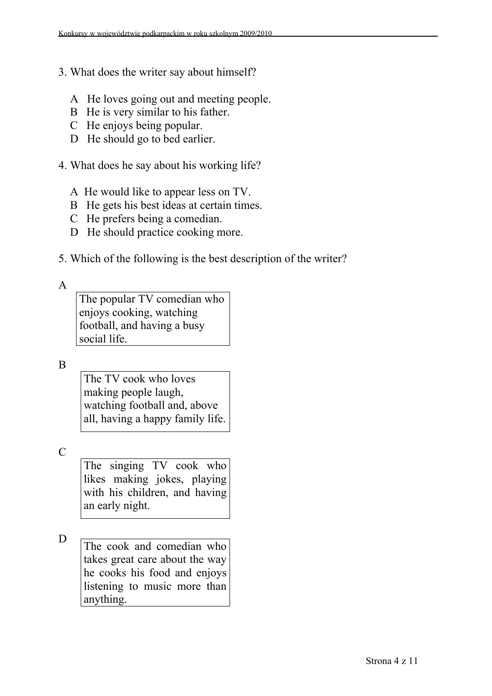- 3. What does the writer say about himself?
	- A He loves going out and meeting people.
	- B He is very similar to his father.
	- C He enjoys being popular.
	- D He should go to bed earlier.
- 4. What does he say about his working life?
	- A He would like to appear less on TV.
	- B He gets his best ideas at certain times.
	- C He prefers being a comedian.
	- D He should practice cooking more.
- 5. Which of the following is the best description of the writer?

A

The popular TV comedian who enjoys cooking, watching football, and having a busy social life.

B

The TV cook who loves making people laugh, watching football and, above all, having a happy family life.

 $\mathcal{C}$ 

The singing TV cook who likes making jokes, playing with his children, and having an early night.

D The cook and comedian who takes great care about the way he cooks his food and enjoys listening to music more than anything.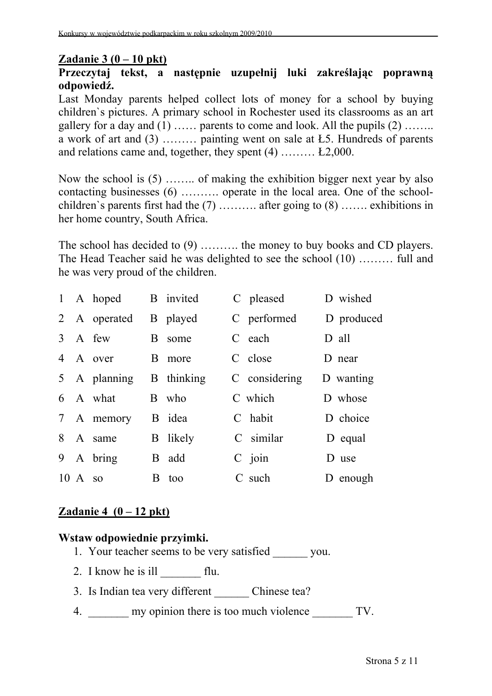## **Zadanie 3 (0 – 10 pkt)**

### **Przeczytaj tekst, a następnie uzupełnij luki zakreślając poprawną odpowiedź.**

Last Monday parents helped collect lots of money for a school by buying children`s pictures. A primary school in Rochester used its classrooms as an art gallery for a day and  $(1)$  …… parents to come and look. All the pupils  $(2)$  ……. a work of art and (3) ……… painting went on sale at Ł5. Hundreds of parents and relations came and, together, they spent (4) ……… Ł2,000.

Now the school is (5) …….. of making the exhibition bigger next year by also contacting businesses (6) ………. operate in the local area. One of the schoolchildren's parents first had the  $(7)$  ……... after going to  $(8)$  ……. exhibitions in her home country, South Africa.

The school has decided to (9) ………. the money to buy books and CD players. The Head Teacher said he was delighted to see the school (10) ……… full and he was very proud of the children.

|                |                   | 1 A hoped    |    | <b>B</b> invited | C pleased     | D wished   |
|----------------|-------------------|--------------|----|------------------|---------------|------------|
|                |                   | 2 A operated |    | B played         | C performed   | D produced |
| 3              |                   | A few        | B. | some             | C each        | D all      |
| $\overline{4}$ |                   | A over       |    | B more           | C close       | D near     |
|                |                   | 5 A planning |    | B thinking       | C considering | D wanting  |
| 6              |                   | A what       |    | B who            | C which       | D whose    |
|                |                   | 7 A memory   |    | B idea           | C habit       | D choice   |
| 8              |                   | A same       |    | <b>B</b> likely  | $C$ similar   | $D$ equal  |
| 9              |                   | A bring      | B  | add              | $C$ join      | D use      |
|                | $10 \text{ A}$ so |              | B  | too              | $C$ such      | D enough   |

## **Zadanie 4 (0 – 12 pkt)**

#### **Wstaw odpowiednie przyimki.**

- 1. Your teacher seems to be very satisfied \_\_\_\_\_\_ you.
- 2. I know he is ill flu.
- 3. Is Indian tea very different Chinese tea?
- 4. \_\_\_\_\_\_ my opinion there is too much violence TV.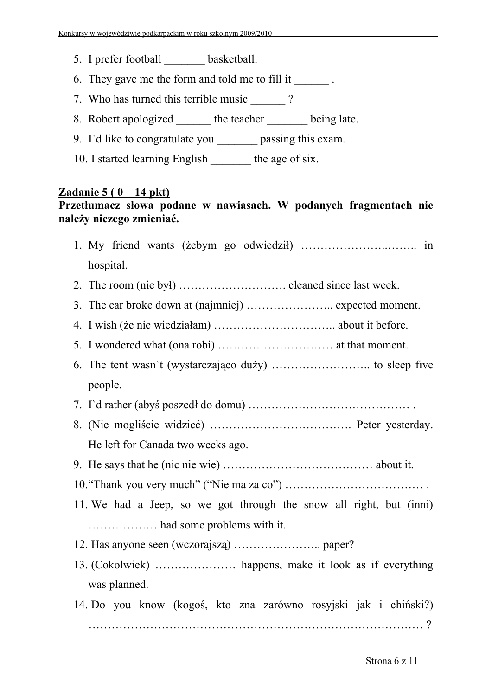- 5. I prefer football basketball.
- 6. They gave me the form and told me to fill it
- 7. Who has turned this terrible music ?
- 8. Robert apologized the teacher being late.
- 9. I'd like to congratulate you passing this exam.
- 10. I started learning English the age of six.

#### **Zadanie 5 ( 0 – 14 pkt)**

#### **Przetłumacz słowa podane w nawiasach. W podanych fragmentach nie należy niczego zmieniać.**

- 1. My friend wants (żebym go odwiedził) …………………..…….. in hospital.
- 2. The room (nie był) ………………………. cleaned since last week.
- 3. The car broke down at (najmniej) ………………….. expected moment.
- 4. I wish (że nie wiedziałam) ………………………….. about it before.
- 5. I wondered what (ona robi) ………………………… at that moment.
- 6. The tent wasn`t (wystarczająco duży) …………………….. to sleep five people.
- 7. I`d rather (abyś poszedł do domu) …………………………………… .
- 8. (Nie mogliście widzieć) ………………………………. Peter yesterday. He left for Canada two weeks ago.
- 9. He says that he (nic nie wie) ………………………………… about it.
- 10."Thank you very much" ("Nie ma za co") ……………………………… .
- 11. We had a Jeep, so we got through the snow all right, but (inni) ……………… had some problems with it.
- 12. Has anyone seen (wczorajszą) ………………….. paper?
- 13. (Cokolwiek) ………………… happens, make it look as if everything was planned.
- 14. Do you know (kogoś, kto zna zarówno rosyjski jak i chiński?) …………………………………………………………………………… ?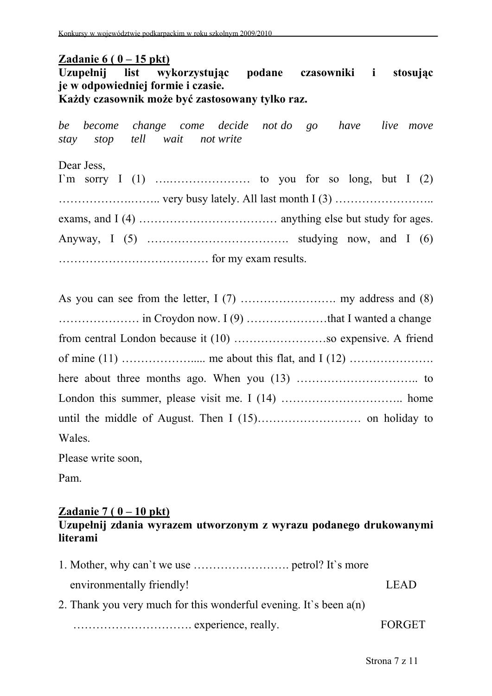#### **Zadanie 6 ( 0 – 15 pkt)**

### **Uzupełnij list wykorzystując podane czasowniki i stosując je w odpowiedniej formie i czasie. Każdy czasownik może być zastosowany tylko raz.**

*be become change come decide not do go have live move stay stop tell wait not write* 

| Dear Jess, |  |  |  |  |  |
|------------|--|--|--|--|--|
|            |  |  |  |  |  |
|            |  |  |  |  |  |
|            |  |  |  |  |  |
|            |  |  |  |  |  |
|            |  |  |  |  |  |

| Wales. |
|--------|
|        |

Please write soon,

Pam.

## **Zadanie 7 ( 0 – 10 pkt)**

### **Uzupełnij zdania wyrazem utworzonym z wyrazu podanego drukowanymi literami**

| environmentally friendly!                                           | <b>LEAD</b> |  |  |  |  |
|---------------------------------------------------------------------|-------------|--|--|--|--|
| 2. Thank you very much for this wonderful evening. It's been $a(n)$ |             |  |  |  |  |
|                                                                     | FORGET      |  |  |  |  |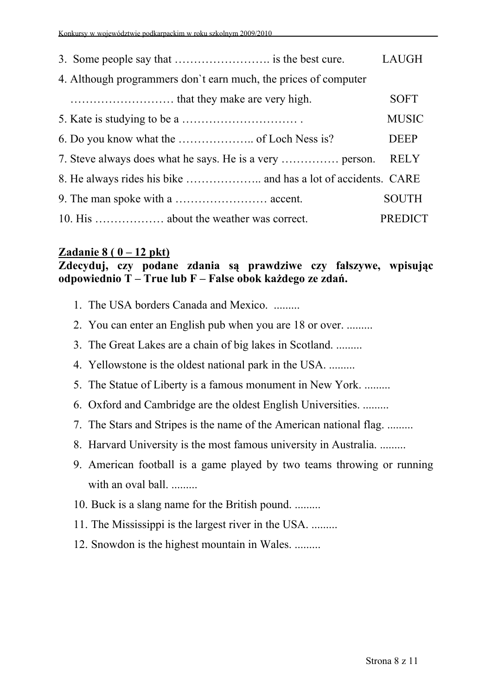|                                                                 | <b>LAUGH</b>   |  |  |  |  |  |
|-----------------------------------------------------------------|----------------|--|--|--|--|--|
| 4. Although programmers don't earn much, the prices of computer |                |  |  |  |  |  |
|                                                                 | <b>SOFT</b>    |  |  |  |  |  |
|                                                                 | <b>MUSIC</b>   |  |  |  |  |  |
|                                                                 | <b>DEEP</b>    |  |  |  |  |  |
| 7. Steve always does what he says. He is a very  person.        | <b>RELY</b>    |  |  |  |  |  |
|                                                                 |                |  |  |  |  |  |
|                                                                 | <b>SOUTH</b>   |  |  |  |  |  |
|                                                                 | <b>PREDICT</b> |  |  |  |  |  |

#### **Zadanie 8 ( 0 – 12 pkt)**

**Zdecyduj, czy podane zdania są prawdziwe czy fałszywe, wpisując odpowiednio T – True lub F – False obok każdego ze zdań.** 

- 1. The USA borders Canada and Mexico. .........
- 2. You can enter an English pub when you are 18 or over. .........
- 3. The Great Lakes are a chain of big lakes in Scotland. .........
- 4. Yellowstone is the oldest national park in the USA. .........
- 5. The Statue of Liberty is a famous monument in New York. .........
- 6. Oxford and Cambridge are the oldest English Universities. .........
- 7. The Stars and Stripes is the name of the American national flag. .........
- 8. Harvard University is the most famous university in Australia. .........
- 9. American football is a game played by two teams throwing or running with an oval ball. .........
- 10. Buck is a slang name for the British pound. .........
- 11. The Mississippi is the largest river in the USA. .........
- 12. Snowdon is the highest mountain in Wales. .........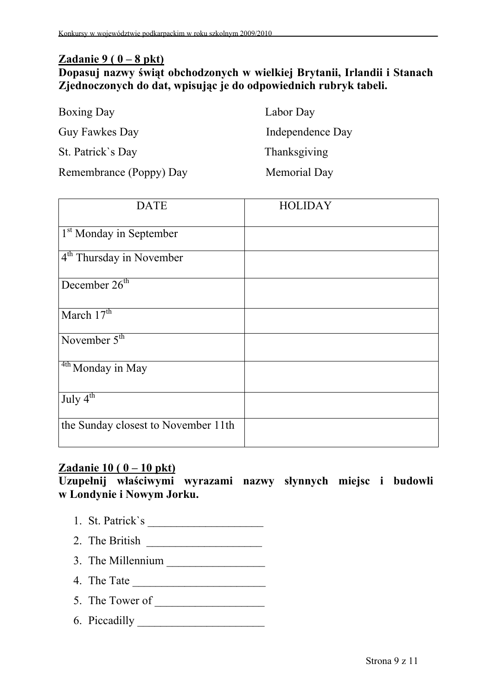#### **Zadanie 9 ( 0 – 8 pkt)**

### **Dopasuj nazwy świąt obchodzonych w wielkiej Brytanii, Irlandii i Stanach Zjednoczonych do dat, wpisując je do odpowiednich rubryk tabeli.**

| <b>Boxing Day</b>       | Labor Day        |
|-------------------------|------------------|
| Guy Fawkes Day          | Independence Day |
| St. Patrick's Day       | Thanksgiving     |
| Remembrance (Poppy) Day | Memorial Day     |

| <b>DATE</b>                          | <b>HOLIDAY</b> |
|--------------------------------------|----------------|
| 1 <sup>st</sup> Monday in September  |                |
| 4 <sup>th</sup> Thursday in November |                |
| December $26^{\text{th}}$            |                |
| March $17th$                         |                |
| November $5^{\text{th}}$             |                |
| <sup>4th</sup> Monday in May         |                |
| July $4^{\text{th}}$                 |                |
| the Sunday closest to November 11th  |                |

#### **Zadanie 10 ( 0 – 10 pkt)**

**Uzupełnij właściwymi wyrazami nazwy słynnych miejsc i budowli w Londynie i Nowym Jorku.** 

- 1. St. Patrick`s
- 2. The British \_\_\_\_\_\_\_\_\_\_\_\_\_\_\_\_\_\_\_\_
- 3. The Millennium
- 4. The Tate \_\_\_\_\_\_\_\_\_\_\_\_\_\_\_\_\_\_\_\_\_\_\_
- 5. The Tower of
- 6. Piccadilly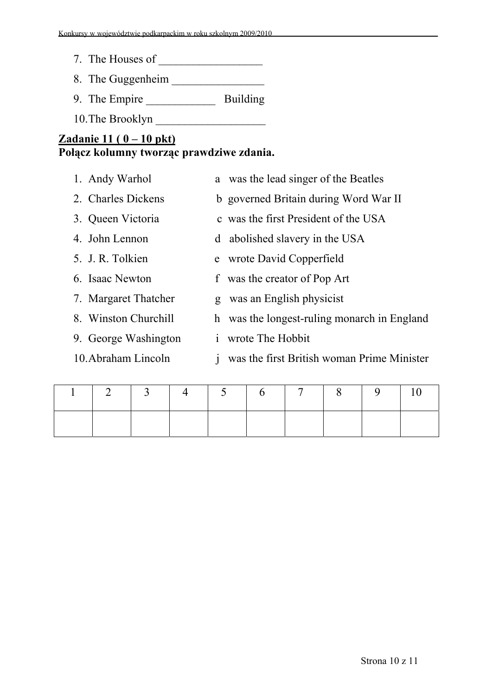- 7. The Houses of \_\_\_\_\_\_\_\_\_\_\_\_\_\_\_\_\_\_
- 8. The Guggenheim
- 9. The Empire \_\_\_\_\_\_\_\_\_\_\_\_ Building
- 10.The Brooklyn \_\_\_\_\_\_\_\_\_\_\_\_\_\_\_\_\_\_\_

### **Zadanie 11 ( 0 – 10 pkt) Połącz kolumny tworząc prawdziwe zdania.**

| 1. Andy Warhol       |              | a was the lead singer of the Beatles       |
|----------------------|--------------|--------------------------------------------|
| 2. Charles Dickens   |              | b governed Britain during Word War II      |
| 3. Queen Victoria    |              | c was the first President of the USA       |
| 4. John Lennon       |              | d abolished slavery in the USA             |
| 5. J. R. Tolkien     |              | e wrote David Copperfield                  |
| 6. Isaac Newton      |              | f was the creator of Pop Art               |
| 7. Margaret Thatcher | $\mathbf{g}$ | was an English physicist                   |
| 8. Winston Churchill | h            | was the longest-ruling monarch in England  |
| 9. George Washington | $\mathbf{1}$ | wrote The Hobbit                           |
| 10. Abraham Lincoln  |              | was the first British woman Prime Minister |

|  |  | $3 \mid 4 \mid 5 \mid 6 \mid 7 \mid 8$ |  |  |  |
|--|--|----------------------------------------|--|--|--|
|  |  |                                        |  |  |  |